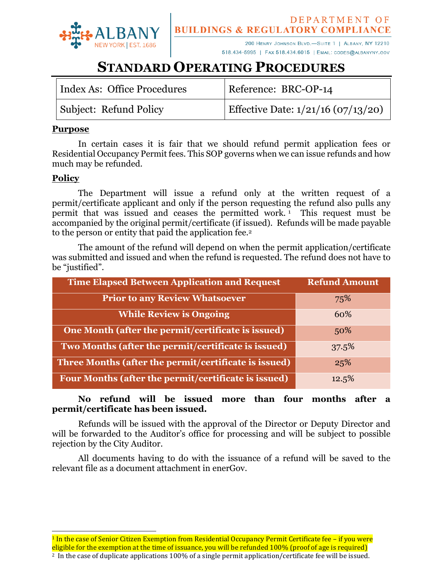

200 HENRY JOHNSON BLVD.-SUITE 1 | ALBANY, NY 12210 518.434-5995 | FAX 518.434.6015 | EMAIL: CODES@ALBANYNY.GOV

# **STANDARD OPERATING PROCEDURES**

| Index As: Office Procedures | Reference: BRC-OP-14                 |
|-----------------------------|--------------------------------------|
| Subject: Refund Policy      | Effective Date: $1/21/16$ (07/13/20) |

#### **Purpose**

In certain cases it is fair that we should refund permit application fees or Residential Occupancy Permit fees. This SOP governs when we can issue refunds and how much may be refunded.

### **Policy**

l

The Department will issue a refund only at the written request of a permit/certificate applicant and only if the person requesting the refund also pulls any permit that was issued and ceases the permitted work. <sup>1</sup> This request must be accompanied by the original permit/certificate (if issued). Refunds will be made payable to the person or entity that paid the application fee.<sup>2</sup>

The amount of the refund will depend on when the permit application/certificate was submitted and issued and when the refund is requested. The refund does not have to be "justified".

| <b>Time Elapsed Between Application and Request</b>   | <b>Refund Amount</b> |
|-------------------------------------------------------|----------------------|
| <b>Prior to any Review Whatsoever</b>                 | 75%                  |
| <b>While Review is Ongoing</b>                        | 60%                  |
| One Month (after the permit/certificate is issued)    | 50%                  |
| Two Months (after the permit/certificate is issued)   | 37.5%                |
| Three Months (after the permit/certificate is issued) | 25%                  |
| Four Months (after the permit/certificate is issued)  | 12.5%                |

#### **No refund will be issued more than four months after a permit/certificate has been issued.**

Refunds will be issued with the approval of the Director or Deputy Director and will be forwarded to the Auditor's office for processing and will be subject to possible rejection by the City Auditor.

All documents having to do with the issuance of a refund will be saved to the relevant file as a document attachment in enerGov.

<sup>1</sup> In the case of Senior Citizen Exemption from Residential Occupancy Permit Certificate fee – if you were eligible for the exemption at the time of issuance, you will be refunded 100% (proof of age is required) 2 In the case of duplicate applications 100% of a single permit application/certificate fee will be issued.